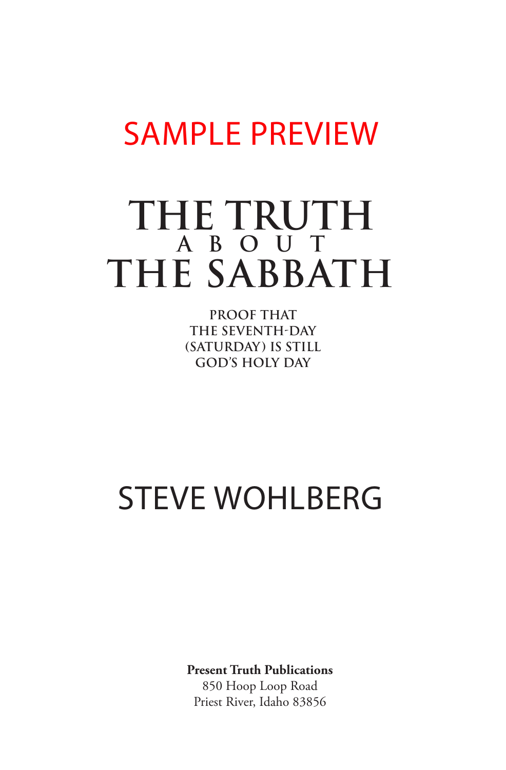# SAMPLE PREVIEW

### **THE TRUTH THE SABBATH ABOUT**

**PROOF THAT THE SEVENTH-DAY (SATURDAY) IS STILL GOD'S HOLY DAY**

## STEVE WOHLBERG

**Present Truth Publications**

850 Hoop Loop Road Priest River, Idaho 83856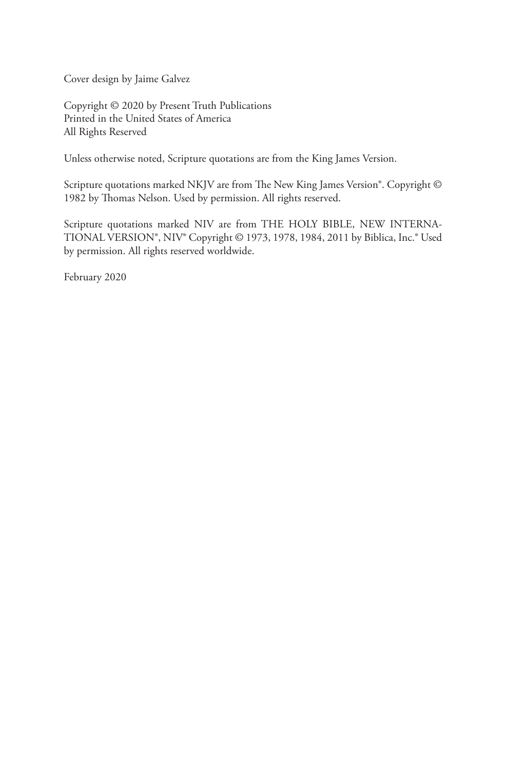Cover design by Jaime Galvez

Copyright © 2020 by Present Truth Publications Printed in the United States of America All Rights Reserved

Unless otherwise noted, Scripture quotations are from the King James Version.

Scripture quotations marked NKJV are from The New King James Version®. Copyright © 1982 by Thomas Nelson. Used by permission. All rights reserved.

Scripture quotations marked NIV are from THE HOLY BIBLE, NEW INTERNA-TIONAL VERSION®, NIV® Copyright © 1973, 1978, 1984, 2011 by Biblica, Inc.® Used by permission. All rights reserved worldwide.

February 2020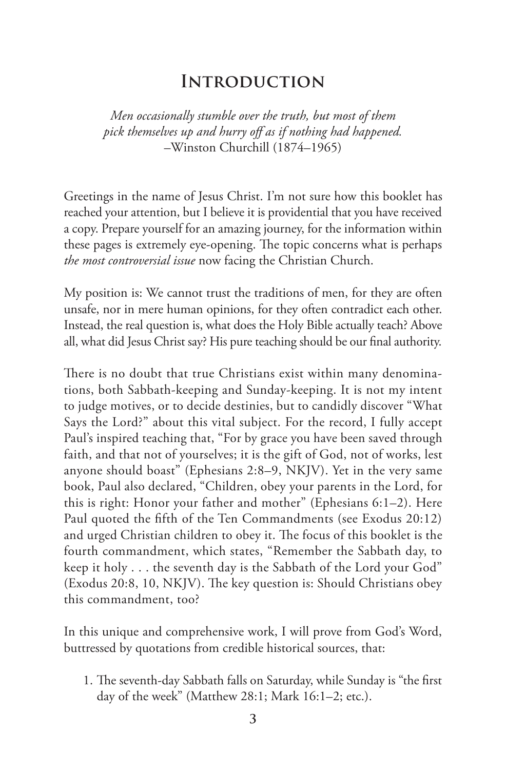#### **Introduction**

*Men occasionally stumble over the truth, but most of them pick themselves up and hurry off as if nothing had happened.*  –Winston Churchill (1874–1965)

Greetings in the name of Jesus Christ. I'm not sure how this booklet has reached your attention, but I believe it is providential that you have received a copy. Prepare yourself for an amazing journey, for the information within these pages is extremely eye-opening. The topic concerns what is perhaps *the most controversial issue* now facing the Christian Church.

My position is: We cannot trust the traditions of men, for they are often unsafe, nor in mere human opinions, for they often contradict each other. Instead, the real question is, what does the Holy Bible actually teach? Above all, what did Jesus Christ say? His pure teaching should be our final authority.

There is no doubt that true Christians exist within many denominations, both Sabbath-keeping and Sunday-keeping. It is not my intent to judge motives, or to decide destinies, but to candidly discover "What Says the Lord?" about this vital subject. For the record, I fully accept Paul's inspired teaching that, "For by grace you have been saved through faith, and that not of yourselves; it is the gift of God, not of works, lest anyone should boast" (Ephesians 2:8–9, NKJV). Yet in the very same book, Paul also declared, "Children, obey your parents in the Lord, for this is right: Honor your father and mother" (Ephesians 6:1–2). Here Paul quoted the fifth of the Ten Commandments (see Exodus 20:12) and urged Christian children to obey it. The focus of this booklet is the fourth commandment, which states, "Remember the Sabbath day, to keep it holy . . . the seventh day is the Sabbath of the Lord your God" (Exodus 20:8, 10, NKJV). The key question is: Should Christians obey this commandment, too?

In this unique and comprehensive work, I will prove from God's Word, buttressed by quotations from credible historical sources, that:

1. The seventh-day Sabbath falls on Saturday, while Sunday is "the first day of the week" (Matthew 28:1; Mark 16:1–2; etc.).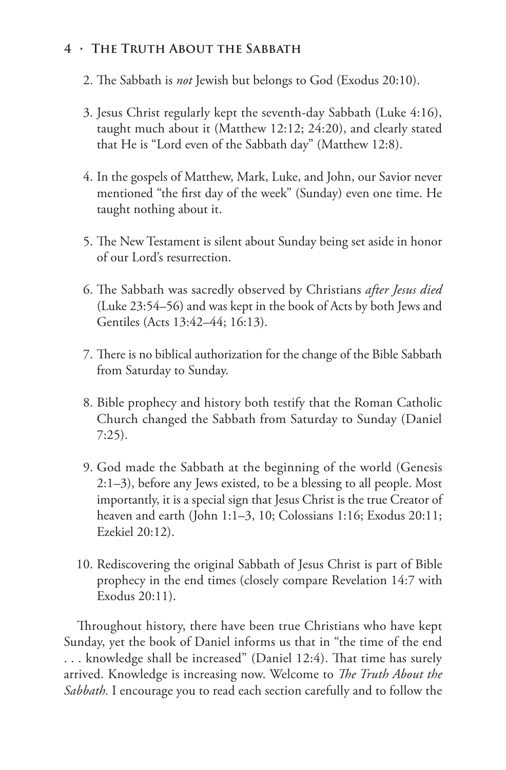#### **4 • The Truth About the Sabbath**

- 2. The Sabbath is *not* Jewish but belongs to God (Exodus 20:10).
- 3. Jesus Christ regularly kept the seventh-day Sabbath (Luke 4:16), taught much about it (Matthew 12:12; 24:20), and clearly stated that He is "Lord even of the Sabbath day" (Matthew 12:8).
- 4. In the gospels of Matthew, Mark, Luke, and John, our Savior never mentioned "the first day of the week" (Sunday) even one time. He taught nothing about it.
- 5. The New Testament is silent about Sunday being set aside in honor of our Lord's resurrection.
- 6. The Sabbath was sacredly observed by Christians *after Jesus died*  (Luke 23:54–56) and was kept in the book of Acts by both Jews and Gentiles (Acts 13:42–44; 16:13).
- 7. There is no biblical authorization for the change of the Bible Sabbath from Saturday to Sunday.
- 8. Bible prophecy and history both testify that the Roman Catholic Church changed the Sabbath from Saturday to Sunday (Daniel 7:25).
- 9. God made the Sabbath at the beginning of the world (Genesis 2:1–3), before any Jews existed, to be a blessing to all people. Most importantly, it is a special sign that Jesus Christ is the true Creator of heaven and earth (John 1:1–3, 10; Colossians 1:16; Exodus 20:11; Ezekiel 20:12).
- 10. Rediscovering the original Sabbath of Jesus Christ is part of Bible prophecy in the end times (closely compare Revelation 14:7 with Exodus 20:11).

Throughout history, there have been true Christians who have kept Sunday, yet the book of Daniel informs us that in "the time of the end . . . knowledge shall be increased" (Daniel 12:4). That time has surely arrived. Knowledge is increasing now. Welcome to *The Truth About the Sabbath.* I encourage you to read each section carefully and to follow the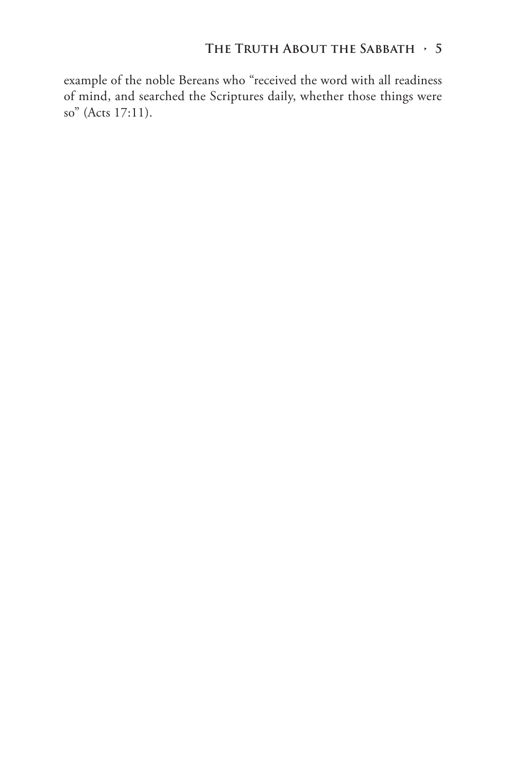#### **The Truth About the Sabbath • 5**

example of the noble Bereans who "received the word with all readiness of mind, and searched the Scriptures daily, whether those things were so" (Acts 17:11).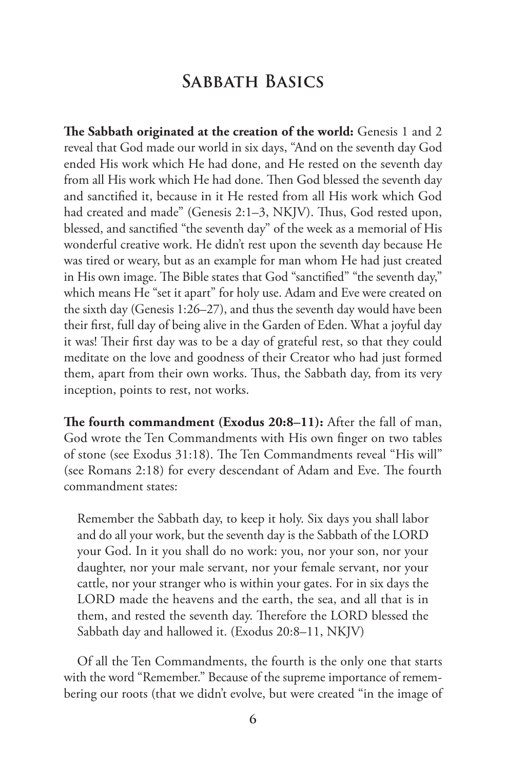### **Sabbath Basics**

**The Sabbath originated at the creation of the world:** Genesis 1 and 2 reveal that God made our world in six days, "And on the seventh day God ended His work which He had done, and He rested on the seventh day from all His work which He had done. Then God blessed the seventh day and sanctified it, because in it He rested from all His work which God had created and made" (Genesis 2:1-3, NKJV). Thus, God rested upon, blessed, and sanctified "the seventh day" of the week as a memorial of His wonderful creative work. He didn't rest upon the seventh day because He was tired or weary, but as an example for man whom He had just created in His own image. The Bible states that God "sanctified" "the seventh day," which means He "set it apart" for holy use. Adam and Eve were created on the sixth day (Genesis 1:26–27), and thus the seventh day would have been their first, full day of being alive in the Garden of Eden. What a joyful day it was! Their first day was to be a day of grateful rest, so that they could meditate on the love and goodness of their Creator who had just formed them, apart from their own works. Thus, the Sabbath day, from its very inception, points to rest, not works.

**The fourth commandment (Exodus 20:8–11):** After the fall of man, God wrote the Ten Commandments with His own finger on two tables of stone (see Exodus 31:18). The Ten Commandments reveal "His will" (see Romans 2:18) for every descendant of Adam and Eve. The fourth commandment states:

Remember the Sabbath day, to keep it holy. Six days you shall labor and do all your work, but the seventh day is the Sabbath of the LORD your God. In it you shall do no work: you, nor your son, nor your daughter, nor your male servant, nor your female servant, nor your cattle, nor your stranger who is within your gates. For in six days the LORD made the heavens and the earth, the sea, and all that is in them, and rested the seventh day. Therefore the LORD blessed the Sabbath day and hallowed it. (Exodus 20:8–11, NKJV)

Of all the Ten Commandments, the fourth is the only one that starts with the word "Remember." Because of the supreme importance of remembering our roots (that we didn't evolve, but were created "in the image of